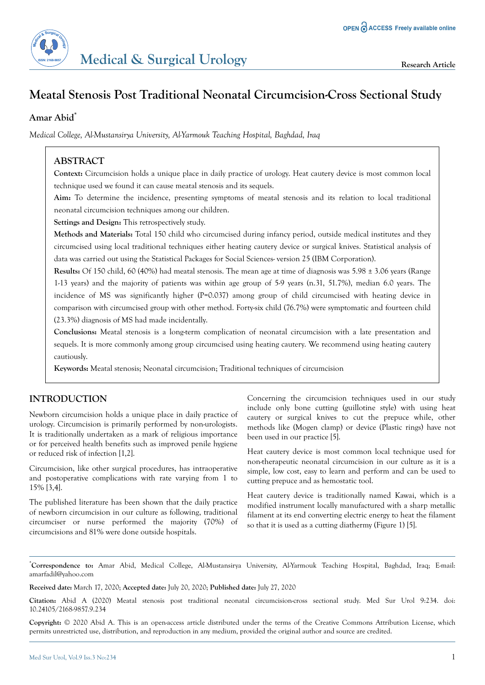

### **Amar Abid\***

*Medical College, Al-Mustansirya University, Al-Yarmouk Teaching Hospital, Baghdad, Iraq*

# **ABSTRACT**

**Context:** Circumcision holds a unique place in daily practice of urology. Heat cautery device is most common local technique used we found it can cause meatal stenosis and its sequels.

**Aim:** To determine the incidence, presenting symptoms of meatal stenosis and its relation to local traditional neonatal circumcision techniques among our children.

**Settings and Design:** This retrospectively study.

**Methods and Materials:** Total 150 child who circumcised during infancy period, outside medical institutes and they circumcised using local traditional techniques either heating cautery device or surgical knives. Statistical analysis of data was carried out using the Statistical Packages for Social Sciences- version 25 (IBM Corporation).

**Results:** Of 150 child, 60 (40%) had meatal stenosis. The mean age at time of diagnosis was 5.98 ± 3.06 years (Range 1-13 years) and the majority of patients was within age group of 5-9 years (n.31, 51.7%), median 6.0 years. The incidence of MS was significantly higher (P=0.037) among group of child circumcised with heating device in comparison with circumcised group with other method. Forty-six child (76.7%) were symptomatic and fourteen child (23.3%) diagnosis of MS had made incidentally.

**Conclusions:** Meatal stenosis is a long-term complication of neonatal circumcision with a late presentation and sequels. It is more commonly among group circumcised using heating cautery. We recommend using heating cautery cautiously.

**Keywords:** Meatal stenosis; Neonatal circumcision; Traditional techniques of circumcision

## **INTRODUCTION**

Newborn circumcision holds a unique place in daily practice of urology. Circumcision is primarily performed by non-urologists. It is traditionally undertaken as a mark of religious importance or for perceived health benefits such as improved penile hygiene or reduced risk of infection [1,2].

Circumcision, like other surgical procedures, has intraoperative and postoperative complications with rate varying from 1 to 15% [3,4].

The published literature has been shown that the daily practice of newborn circumcision in our culture as following, traditional circumciser or nurse performed the majority (70%) of circumcisions and 81% were done outside hospitals.

Concerning the circumcision techniques used in our study include only bone cutting (guillotine style) with using heat cautery or surgical knives to cut the prepuce while, other methods like (Mogen clamp) or device (Plastic rings) have not been used in our practice [5].

Heat cautery device is most common local technique used for non-therapeutic neonatal circumcision in our culture as it is a simple, low cost, easy to learn and perform and can be used to cutting prepuce and as hemostatic tool.

Heat cautery device is traditionally named Kawai, which is a modified instrument locally manufactured with a sharp metallic filament at its end converting electric energy to heat the filament so that it is used as a cutting diathermy (Figure 1) [5].

\***Correspondence to:** Amar Abid, Medical College, Al-Mustansirya University, Al-Yarmouk Teaching Hospital, Baghdad, Iraq; E-mail: amarfadil@yahoo.com

**Received date:** March 17, 2020; **Accepted date:** July 20, 2020; **Published date:** July 27, 2020

**Copyright:** © 2020 Abid A. This is an open-access article distributed under the terms of the Creative Commons Attribution License, which permits unrestricted use, distribution, and reproduction in any medium, provided the original author and source are credited.

**Citation:** Abid A (2020) Meatal stenosis post traditional neonatal circumcision-cross sectional study. Med Sur Urol 9:234. doi: 10.24105/2168-9857.9.234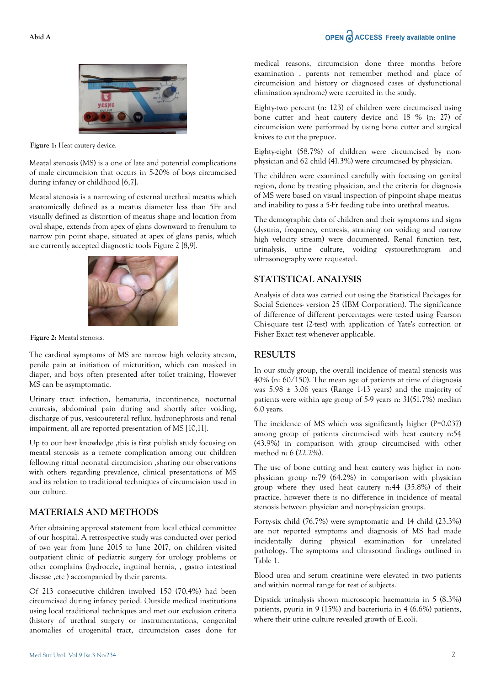# OPEN C ACCESS Freely available online



**Figure 1:** Heat cautery device.

Meatal stenosis (MS) is a one of late and potential complications of male circumcision that occurs in 5-20% of boys circumcised during infancy or childhood [6,7].

Meatal stenosis is a narrowing of external urethral meatus which anatomically defined as a meatus diameter less than 5Fr and visually defined as distortion of meatus shape and location from oval shape, extends from apex of glans downward to frenulum to narrow pin point shape, situated at apex of glans penis, which are currently accepted diagnostic tools Figure 2 [8,9].



**Figure 2:** Meatal stenosis.

The cardinal symptoms of MS are narrow high velocity stream, penile pain at initiation of micturition, which can masked in diaper, and boys often presented after toilet training, However MS can be asymptomatic.

Urinary tract infection, hematuria, incontinence, nocturnal enuresis, abdominal pain during and shortly after voiding, discharge of pus, vesicoureteral reflux, hydronephrosis and renal impairment, all are reported presentation of MS [10,11].

Up to our best knowledge, this is first publish study focusing on meatal stenosis as a remote complication among our children following ritual neonatal circumcision ,sharing our observations with others regarding prevalence, clinical presentations of MS and its relation to traditional techniques of circumcision used in our culture.

## **MATERIALS AND METHODS**

After obtaining approval statement from local ethical committee of our hospital. A retrospective study was conducted over period of two year from June 2015 to June 2017, on children visited outpatient clinic of pediatric surgery for urology problems or other complains (hydrocele, inguinal hernia, , gastro intestinal disease ,etc ) accompanied by their parents.

Of 213 consecutive children involved 150 (70.4%) had been circumcised during infancy period. Outside medical institutions using local traditional techniques and met our exclusion criteria (history of urethral surgery or instrumentations, congenital anomalies of urogenital tract, circumcision cases done for medical reasons, circumcision done three months before examination , parents not remember method and place of circumcision and history or diagnosed cases of dysfunctional elimination syndrome) were recruited in the study.

Eighty-two percent (n: 123) of children were circumcised using bone cutter and heat cautery device and 18 % (n: 27) of circumcision were performed by using bone cutter and surgical knives to cut the prepuce.

Eighty-eight (58.7%) of children were circumcised by nonphysician and 62 child (41.3%) were circumcised by physician.

The children were examined carefully with focusing on genital region, done by treating physician, and the criteria for diagnosis of MS were based on visual inspection of pinpoint shape meatus and inability to pass a 5-Fr feeding tube into urethral meatus.

The demographic data of children and their symptoms and signs (dysuria, frequency, enuresis, straining on voiding and narrow high velocity stream) were documented. Renal function test, urinalysis, urine culture, voiding cystourethrogram and ultrasonography were requested.

### **STATISTICAL ANALYSIS**

Analysis of data was carried out using the Statistical Packages for Social Sciences- version 25 (IBM Corporation). The significance of difference of different percentages were tested using Pearson Chi-square test (2-test) with application of Yate's correction or Fisher Exact test whenever applicable.

#### **RESULTS**

In our study group, the overall incidence of meatal stenosis was 40% (n: 60/150). The mean age of patients at time of diagnosis was 5.98 ± 3.06 years (Range 1-13 years) and the majority of patients were within age group of 5-9 years n: 31(51.7%) median 6.0 years.

The incidence of MS which was significantly higher (P=0.037) among group of patients circumcised with heat cautery n:54 (43.9%) in comparison with group circumcised with other method n: 6 (22.2%).

The use of bone cutting and heat cautery was higher in nonphysician group n:79 (64.2%) in comparison with physician group where they used heat cautery n:44 (35.8%) of their practice, however there is no difference in incidence of meatal stenosis between physician and non-physician groups.

Forty-six child (76.7%) were symptomatic and 14 child (23.3%) are not reported symptoms and diagnosis of MS had made incidentally during physical examination for unrelated pathology. The symptoms and ultrasound findings outlined in Table 1.

Blood urea and serum creatinine were elevated in two patients and within normal range for rest of subjects.

Dipstick urinalysis shown microscopic haematuria in 5 (8.3%) patients, pyuria in 9 (15%) and bacteriuria in 4 (6.6%) patients, where their urine culture revealed growth of E.coli.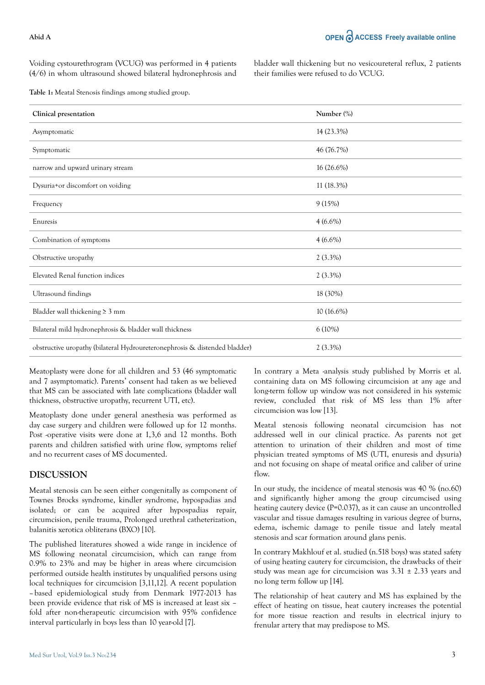Voiding cystourethrogram (VCUG) was performed in 4 patients (4/6) in whom ultrasound showed bilateral hydronephrosis and bladder wall thickening but no vesicoureteral reflux, 2 patients their families were refused to do VCUG.

**Table 1:** Meatal Stenosis findings among studied group.

| Clinical presentation                                                      | Number (%) |
|----------------------------------------------------------------------------|------------|
| Asymptomatic                                                               | 14 (23.3%) |
| Symptomatic                                                                | 46 (76.7%) |
| narrow and upward urinary stream                                           | 16 (26.6%) |
| Dysuria+or discomfort on voiding                                           | 11 (18.3%) |
| Frequency                                                                  | 9(15%)     |
| Enuresis                                                                   | $4(6.6\%)$ |
| Combination of symptoms                                                    | $4(6.6\%)$ |
| Obstructive uropathy                                                       | $2(3.3\%)$ |
| Elevated Renal function indices                                            | $2(3.3\%)$ |
| Ultrasound findings                                                        | 18 (30%)   |
| Bladder wall thickening $\geq 3$ mm                                        | 10 (16.6%) |
| Bilateral mild hydronephrosis & bladder wall thickness                     | 6(10%)     |
| obstructive uropathy (bilateral Hydroureteronephrosis & distended bladder) | $2(3.3\%)$ |

Meatoplasty were done for all children and 53 (46 symptomatic and 7 asymptomatic). Parents' consent had taken as we believed that MS can be associated with late complications (bladder wall thickness, obstructive uropathy, recurrent UTI, etc).

Meatoplasty done under general anesthesia was performed as day case surgery and children were followed up for 12 months. Post -operative visits were done at 1,3,6 and 12 months. Both parents and children satisfied with urine flow, symptoms relief and no recurrent cases of MS documented.

#### **DISCUSSION**

Meatal stenosis can be seen either congenitally as component of Townes Brocks syndrome, kindler syndrome, hypospadias and isolated; or can be acquired after hypospadias repair, circumcision, penile trauma, Prolonged urethral catheterization, balanitis xerotica obliterans (BXO) [10].

The published literatures showed a wide range in incidence of MS following neonatal circumcision, which can range from 0.9% to 23% and may be higher in areas where circumcision performed outside health institutes by unqualified persons using local techniques for circumcision [3,11,12]. A recent population – based epidemiological study from Denmark 1977-2013 has been provide evidence that risk of MS is increased at least six – fold after non-therapeutic circumcision with 95% confidence interval particularly in boys less than 10 year-old [7].

In contrary a Meta -analysis study published by Morris et al. containing data on MS following circumcision at any age and long-term follow up window was not considered in his systemic review, concluded that risk of MS less than 1% after circumcision was low [13].

Meatal stenosis following neonatal circumcision has not addressed well in our clinical practice. As parents not get attention to urination of their children and most of time physician treated symptoms of MS (UTI, enuresis and dysuria) and not focusing on shape of meatal orifice and caliber of urine flow.

In our study, the incidence of meatal stenosis was 40 % (no.60) and significantly higher among the group circumcised using heating cautery device (P=0.037), as it can cause an uncontrolled vascular and tissue damages resulting in various degree of burns, edema, ischemic damage to penile tissue and lately meatal stenosis and scar formation around glans penis.

In contrary Makhlouf et al. studied (n.518 boys) was stated safety of using heating cautery for circumcision, the drawbacks of their study was mean age for circumcision was  $3.31 \pm 2.33$  years and no long term follow up [14].

The relationship of heat cautery and MS has explained by the effect of heating on tissue, heat cautery increases the potential for more tissue reaction and results in electrical injury to frenular artery that may predispose to MS.